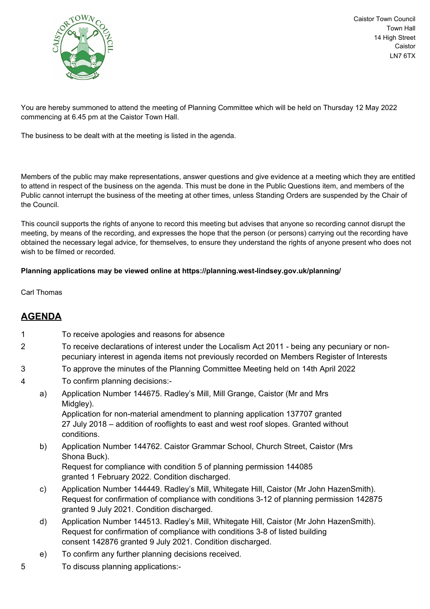

Caistor Town Council Town Hall 14 High Street Caistor LN7 6TX

You are hereby summoned to attend the meeting of Planning Committee which will be held on Thursday 12 May 2022 commencing at 6.45 pm at the Caistor Town Hall.

The business to be dealt with at the meeting is listed in the agenda.

Members of the public may make representations, answer questions and give evidence at a meeting which they are entitled to attend in respect of the business on the agenda. This must be done in the Public Questions item, and members of the Public cannot interrupt the business of the meeting at other times, unless Standing Orders are suspended by the Chair of the Council.

This council supports the rights of anyone to record this meeting but advises that anyone so recording cannot disrupt the meeting, by means of the recording, and expresses the hope that the person (or persons) carrying out the recording have obtained the necessary legal advice, for themselves, to ensure they understand the rights of anyone present who does not wish to be filmed or recorded.

## **Planning applications may be viewed online at https://planning.west-lindsey.gov.uk/planning/**

Carl Thomas

## **AGENDA**

| 1 |    | To receive apologies and reasons for absence                                                                                                                                                                                          |
|---|----|---------------------------------------------------------------------------------------------------------------------------------------------------------------------------------------------------------------------------------------|
| 2 |    | To receive declarations of interest under the Localism Act 2011 - being any pecuniary or non-<br>pecuniary interest in agenda items not previously recorded on Members Register of Interests                                          |
| 3 |    | To approve the minutes of the Planning Committee Meeting held on 14th April 2022                                                                                                                                                      |
| 4 |    | To confirm planning decisions:-                                                                                                                                                                                                       |
|   | a) | Application Number 144675. Radley's Mill, Mill Grange, Caistor (Mr and Mrs<br>Midgley).                                                                                                                                               |
|   |    | Application for non-material amendment to planning application 137707 granted<br>27 July 2018 – addition of rooflights to east and west roof slopes. Granted without<br>conditions.                                                   |
|   | b) | Application Number 144762. Caistor Grammar School, Church Street, Caistor (Mrs<br>Shona Buck).                                                                                                                                        |
|   |    | Request for compliance with condition 5 of planning permission 144085<br>granted 1 February 2022. Condition discharged.                                                                                                               |
|   | c) | Application Number 144449. Radley's Mill, Whitegate Hill, Caistor (Mr John HazenSmith).<br>Request for confirmation of compliance with conditions 3-12 of planning permission 142875<br>granted 9 July 2021. Condition discharged.    |
|   | d) | Application Number 144513. Radley's Mill, Whitegate Hill, Caistor (Mr John HazenSmith).<br>Request for confirmation of compliance with conditions 3-8 of listed building<br>consent 142876 granted 9 July 2021. Condition discharged. |
|   | e) | To confirm any further planning decisions received.                                                                                                                                                                                   |
|   |    |                                                                                                                                                                                                                                       |

5 To discuss planning applications:-